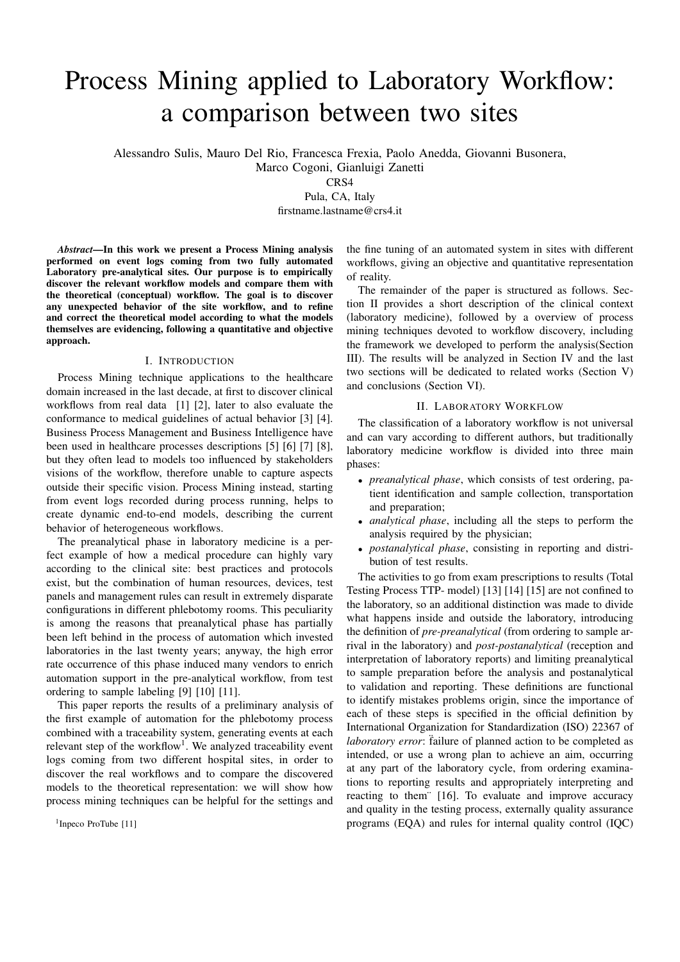# Process Mining applied to Laboratory Workflow: a comparison between two sites

Alessandro Sulis, Mauro Del Rio, Francesca Frexia, Paolo Anedda, Giovanni Busonera,

Marco Cogoni, Gianluigi Zanetti

CRS4

Pula, CA, Italy

firstname.lastname@crs4.it

*Abstract*—In this work we present a Process Mining analysis performed on event logs coming from two fully automated Laboratory pre-analytical sites. Our purpose is to empirically discover the relevant workflow models and compare them with the theoretical (conceptual) workflow. The goal is to discover any unexpected behavior of the site workflow, and to refine and correct the theoretical model according to what the models themselves are evidencing, following a quantitative and objective approach.

#### I. INTRODUCTION

Process Mining technique applications to the healthcare domain increased in the last decade, at first to discover clinical workflows from real data [1] [2], later to also evaluate the conformance to medical guidelines of actual behavior [3] [4]. Business Process Management and Business Intelligence have been used in healthcare processes descriptions [5] [6] [7] [8], but they often lead to models too influenced by stakeholders visions of the workflow, therefore unable to capture aspects outside their specific vision. Process Mining instead, starting from event logs recorded during process running, helps to create dynamic end-to-end models, describing the current behavior of heterogeneous workflows.

The preanalytical phase in laboratory medicine is a perfect example of how a medical procedure can highly vary according to the clinical site: best practices and protocols exist, but the combination of human resources, devices, test panels and management rules can result in extremely disparate configurations in different phlebotomy rooms. This peculiarity is among the reasons that preanalytical phase has partially been left behind in the process of automation which invested laboratories in the last twenty years; anyway, the high error rate occurrence of this phase induced many vendors to enrich automation support in the pre-analytical workflow, from test ordering to sample labeling [9] [10] [11].

This paper reports the results of a preliminary analysis of the first example of automation for the phlebotomy process combined with a traceability system, generating events at each relevant step of the workflow<sup>1</sup>. We analyzed traceability event logs coming from two different hospital sites, in order to discover the real workflows and to compare the discovered models to the theoretical representation: we will show how process mining techniques can be helpful for the settings and

<sup>1</sup>Inpeco ProTube [11]

the fine tuning of an automated system in sites with different workflows, giving an objective and quantitative representation of reality.

The remainder of the paper is structured as follows. Section II provides a short description of the clinical context (laboratory medicine), followed by a overview of process mining techniques devoted to workflow discovery, including the framework we developed to perform the analysis(Section III). The results will be analyzed in Section IV and the last two sections will be dedicated to related works (Section V) and conclusions (Section VI).

## II. LABORATORY WORKFLOW

The classification of a laboratory workflow is not universal and can vary according to different authors, but traditionally laboratory medicine workflow is divided into three main phases:

- *preanalytical phase*, which consists of test ordering, patient identification and sample collection, transportation and preparation;
- *analytical phase*, including all the steps to perform the analysis required by the physician;
- *postanalytical phase*, consisting in reporting and distribution of test results.

The activities to go from exam prescriptions to results (Total Testing Process TTP- model) [13] [14] [15] are not confined to the laboratory, so an additional distinction was made to divide what happens inside and outside the laboratory, introducing the definition of *pre-preanalytical* (from ordering to sample arrival in the laboratory) and *post-postanalytical* (reception and interpretation of laboratory reports) and limiting preanalytical to sample preparation before the analysis and postanalytical to validation and reporting. These definitions are functional to identify mistakes problems origin, since the importance of each of these steps is specified in the official definition by International Organization for Standardization (ISO) 22367 of laboratory error: failure of planned action to be completed as intended, or use a wrong plan to achieve an aim, occurring at any part of the laboratory cycle, from ordering examinations to reporting results and appropriately interpreting and reacting to them¨ [16]. To evaluate and improve accuracy and quality in the testing process, externally quality assurance programs (EQA) and rules for internal quality control (IQC)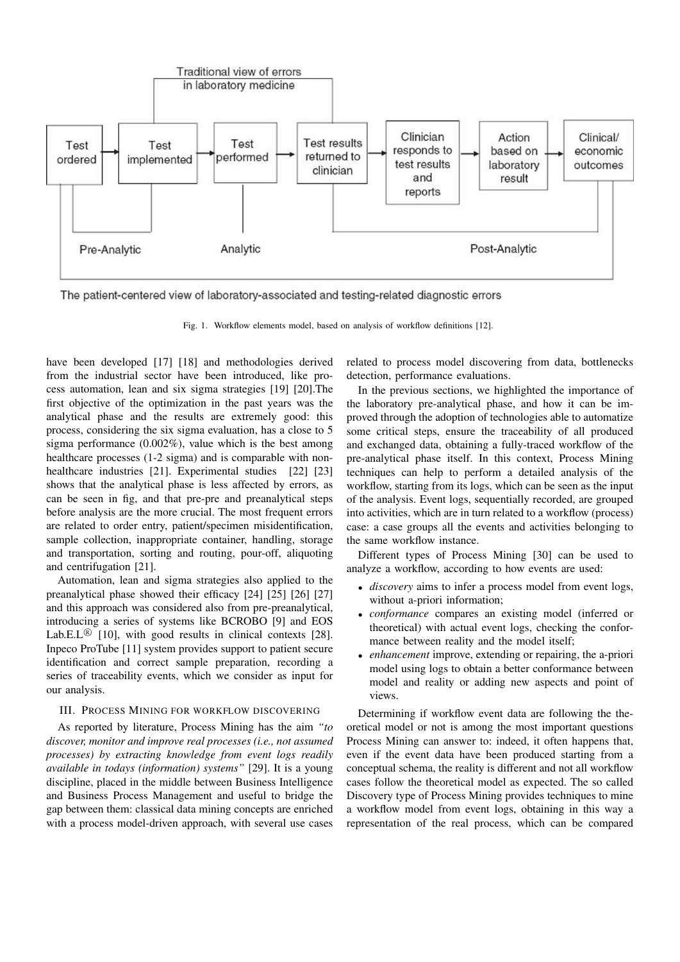

The patient-centered view of laboratory-associated and testing-related diagnostic errors

Fig. 1. Workflow elements model, based on analysis of workflow definitions [12].

have been developed [17] [18] and methodologies derived from the industrial sector have been introduced, like process automation, lean and six sigma strategies [19] [20].The first objective of the optimization in the past years was the analytical phase and the results are extremely good: this process, considering the six sigma evaluation, has a close to 5 sigma performance (0.002%), value which is the best among healthcare processes (1-2 sigma) and is comparable with nonhealthcare industries [21]. Experimental studies [22] [23] shows that the analytical phase is less affected by errors, as can be seen in fig, and that pre-pre and preanalytical steps before analysis are the more crucial. The most frequent errors are related to order entry, patient/specimen misidentification, sample collection, inappropriate container, handling, storage and transportation, sorting and routing, pour-off, aliquoting and centrifugation [21].

Automation, lean and sigma strategies also applied to the preanalytical phase showed their efficacy [24] [25] [26] [27] and this approach was considered also from pre-preanalytical, introducing a series of systems like BCROBO [9] and EOS Lab.E.L $\mathbb{B}$  [10], with good results in clinical contexts [28]. Inpeco ProTube [11] system provides support to patient secure identification and correct sample preparation, recording a series of traceability events, which we consider as input for our analysis.

# III. PROCESS MINING FOR WORKFLOW DISCOVERING

As reported by literature, Process Mining has the aim *"to discover, monitor and improve real processes (i.e., not assumed processes) by extracting knowledge from event logs readily available in todays (information) systems"* [29]. It is a young discipline, placed in the middle between Business Intelligence and Business Process Management and useful to bridge the gap between them: classical data mining concepts are enriched with a process model-driven approach, with several use cases

related to process model discovering from data, bottlenecks detection, performance evaluations.

In the previous sections, we highlighted the importance of the laboratory pre-analytical phase, and how it can be improved through the adoption of technologies able to automatize some critical steps, ensure the traceability of all produced and exchanged data, obtaining a fully-traced workflow of the pre-analytical phase itself. In this context, Process Mining techniques can help to perform a detailed analysis of the workflow, starting from its logs, which can be seen as the input of the analysis. Event logs, sequentially recorded, are grouped into activities, which are in turn related to a workflow (process) case: a case groups all the events and activities belonging to the same workflow instance.

Different types of Process Mining [30] can be used to analyze a workflow, according to how events are used:

- *discovery* aims to infer a process model from event logs, without a-priori information;
- *conformance* compares an existing model (inferred or theoretical) with actual event logs, checking the conformance between reality and the model itself;
- *enhancement* improve, extending or repairing, the a-priori model using logs to obtain a better conformance between model and reality or adding new aspects and point of views.

Determining if workflow event data are following the theoretical model or not is among the most important questions Process Mining can answer to: indeed, it often happens that, even if the event data have been produced starting from a conceptual schema, the reality is different and not all workflow cases follow the theoretical model as expected. The so called Discovery type of Process Mining provides techniques to mine a workflow model from event logs, obtaining in this way a representation of the real process, which can be compared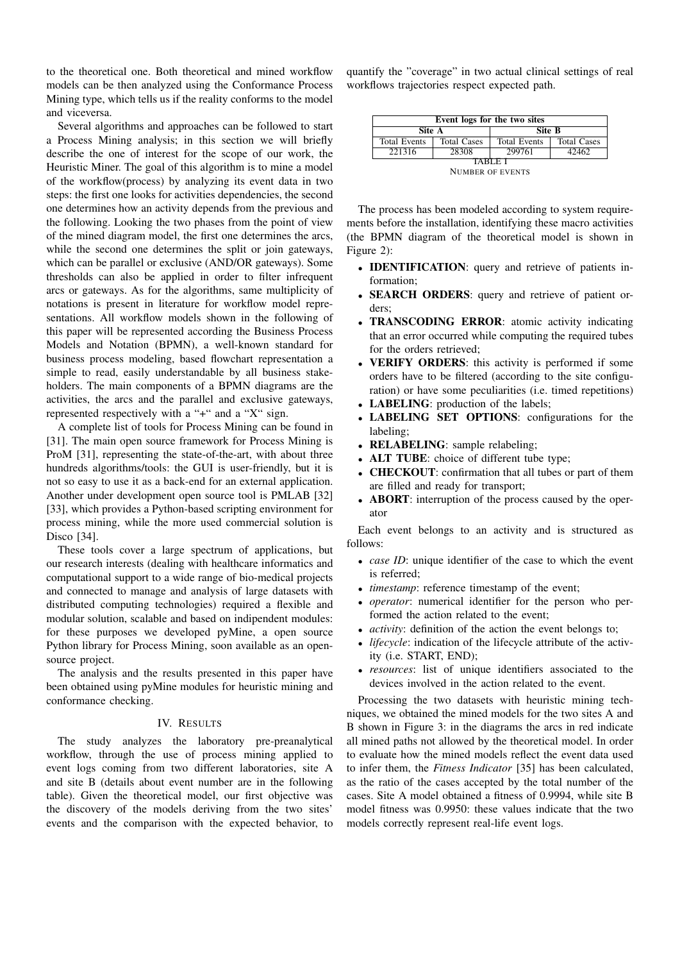to the theoretical one. Both theoretical and mined workflow models can be then analyzed using the Conformance Process Mining type, which tells us if the reality conforms to the model and viceversa.

Several algorithms and approaches can be followed to start a Process Mining analysis; in this section we will briefly describe the one of interest for the scope of our work, the Heuristic Miner. The goal of this algorithm is to mine a model of the workflow(process) by analyzing its event data in two steps: the first one looks for activities dependencies, the second one determines how an activity depends from the previous and the following. Looking the two phases from the point of view of the mined diagram model, the first one determines the arcs, while the second one determines the split or join gateways, which can be parallel or exclusive (AND/OR gateways). Some thresholds can also be applied in order to filter infrequent arcs or gateways. As for the algorithms, same multiplicity of notations is present in literature for workflow model representations. All workflow models shown in the following of this paper will be represented according the Business Process Models and Notation (BPMN), a well-known standard for business process modeling, based flowchart representation a simple to read, easily understandable by all business stakeholders. The main components of a BPMN diagrams are the activities, the arcs and the parallel and exclusive gateways, represented respectively with a "+" and a "X" sign.

A complete list of tools for Process Mining can be found in [31]. The main open source framework for Process Mining is ProM [31], representing the state-of-the-art, with about three hundreds algorithms/tools: the GUI is user-friendly, but it is not so easy to use it as a back-end for an external application. Another under development open source tool is PMLAB [32] [33], which provides a Python-based scripting environment for process mining, while the more used commercial solution is Disco [34].

These tools cover a large spectrum of applications, but our research interests (dealing with healthcare informatics and computational support to a wide range of bio-medical projects and connected to manage and analysis of large datasets with distributed computing technologies) required a flexible and modular solution, scalable and based on indipendent modules: for these purposes we developed pyMine, a open source Python library for Process Mining, soon available as an opensource project.

The analysis and the results presented in this paper have been obtained using pyMine modules for heuristic mining and conformance checking.

## IV. RESULTS

The study analyzes the laboratory pre-preanalytical workflow, through the use of process mining applied to event logs coming from two different laboratories, site A and site B (details about event number are in the following table). Given the theoretical model, our first objective was the discovery of the models deriving from the two sites' events and the comparison with the expected behavior, to

quantify the "coverage" in two actual clinical settings of real workflows trajectories respect expected path.

| Event logs for the two sites |                    |                     |                    |
|------------------------------|--------------------|---------------------|--------------------|
| Site A                       |                    | Site B              |                    |
| <b>Total Events</b>          | <b>Total Cases</b> | <b>Total Events</b> | <b>Total Cases</b> |
| 221316                       | 28308              | 299761              | 42462              |
| TARI E I                     |                    |                     |                    |
| <b>NUMBER OF EVENTS</b>      |                    |                     |                    |

The process has been modeled according to system requirements before the installation, identifying these macro activities (the BPMN diagram of the theoretical model is shown in Figure 2):

- IDENTIFICATION: query and retrieve of patients information;
- **SEARCH ORDERS:** query and retrieve of patient orders;
- TRANSCODING ERROR: atomic activity indicating that an error occurred while computing the required tubes for the orders retrieved;
- VERIFY ORDERS: this activity is performed if some orders have to be filtered (according to the site configuration) or have some peculiarities (i.e. timed repetitions)
- LABELING: production of the labels;
- LABELING SET OPTIONS: configurations for the labeling;
- **RELABELING**: sample relabeling;
- ALT TUBE: choice of different tube type;
- CHECKOUT: confirmation that all tubes or part of them are filled and ready for transport;
- **ABORT**: interruption of the process caused by the operator

Each event belongs to an activity and is structured as follows:

- *case ID*: unique identifier of the case to which the event is referred;
- *timestamp*: reference timestamp of the event;
- *operator*: numerical identifier for the person who performed the action related to the event;
- *activity*: definition of the action the event belongs to;
- *lifecycle*: indication of the lifecycle attribute of the activity (i.e. START, END);
- *resources*: list of unique identifiers associated to the devices involved in the action related to the event.

Processing the two datasets with heuristic mining techniques, we obtained the mined models for the two sites A and B shown in Figure 3: in the diagrams the arcs in red indicate all mined paths not allowed by the theoretical model. In order to evaluate how the mined models reflect the event data used to infer them, the *Fitness Indicator* [35] has been calculated, as the ratio of the cases accepted by the total number of the cases. Site A model obtained a fitness of 0.9994, while site B model fitness was 0.9950: these values indicate that the two models correctly represent real-life event logs.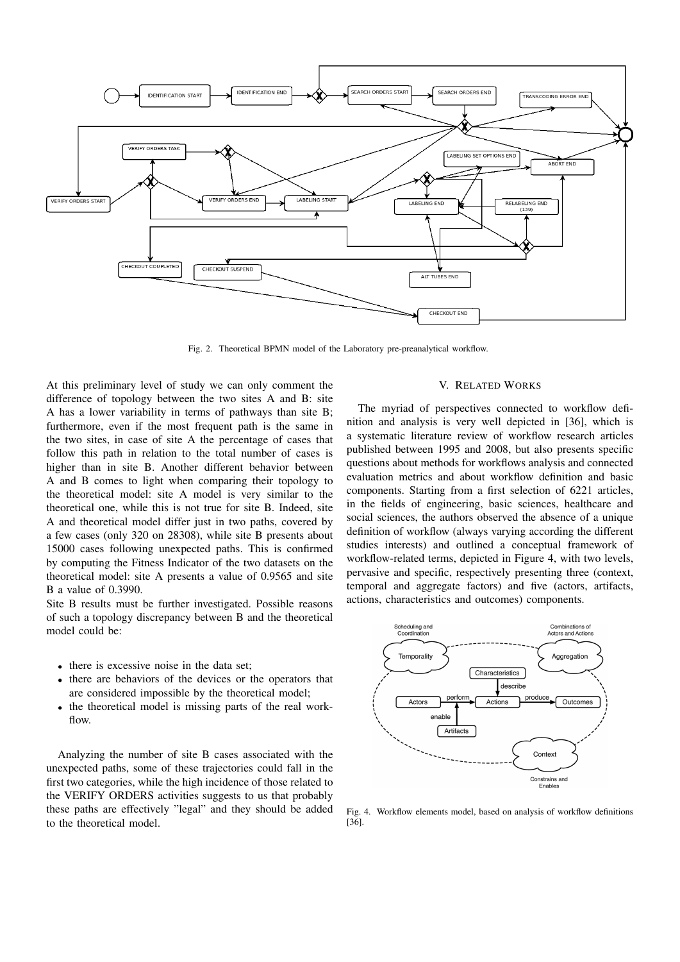

Fig. 2. Theoretical BPMN model of the Laboratory pre-preanalytical workflow.

At this preliminary level of study we can only comment the difference of topology between the two sites A and B: site A has a lower variability in terms of pathways than site B; furthermore, even if the most frequent path is the same in the two sites, in case of site A the percentage of cases that follow this path in relation to the total number of cases is higher than in site B. Another different behavior between A and B comes to light when comparing their topology to the theoretical model: site A model is very similar to the theoretical one, while this is not true for site B. Indeed, site A and theoretical model differ just in two paths, covered by a few cases (only 320 on 28308), while site B presents about 15000 cases following unexpected paths. This is confirmed by computing the Fitness Indicator of the two datasets on the theoretical model: site A presents a value of 0.9565 and site B a value of 0.3990.

Site B results must be further investigated. Possible reasons of such a topology discrepancy between B and the theoretical model could be:

- there is excessive noise in the data set;
- there are behaviors of the devices or the operators that are considered impossible by the theoretical model;
- the theoretical model is missing parts of the real workflow.

Analyzing the number of site B cases associated with the unexpected paths, some of these trajectories could fall in the first two categories, while the high incidence of those related to the VERIFY ORDERS activities suggests to us that probably these paths are effectively "legal" and they should be added to the theoretical model.

# V. RELATED WORKS

The myriad of perspectives connected to workflow definition and analysis is very well depicted in [36], which is a systematic literature review of workflow research articles published between 1995 and 2008, but also presents specific questions about methods for workflows analysis and connected evaluation metrics and about workflow definition and basic components. Starting from a first selection of 6221 articles, in the fields of engineering, basic sciences, healthcare and social sciences, the authors observed the absence of a unique definition of workflow (always varying according the different studies interests) and outlined a conceptual framework of workflow-related terms, depicted in Figure 4, with two levels, pervasive and specific, respectively presenting three (context, temporal and aggregate factors) and five (actors, artifacts, actions, characteristics and outcomes) components.



Fig. 4. Workflow elements model, based on analysis of workflow definitions [36].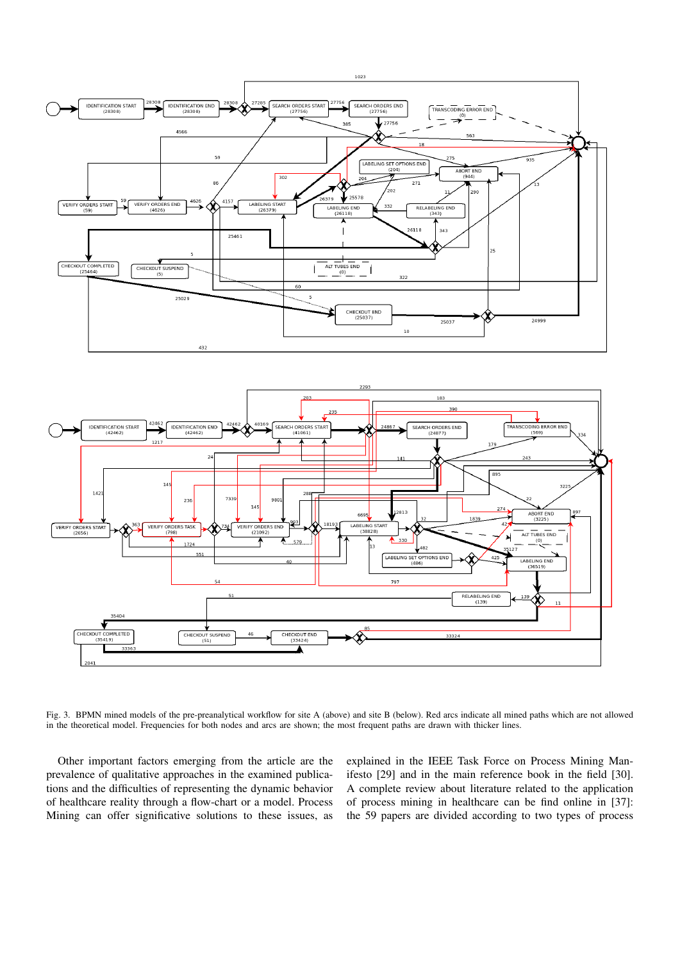



Fig. 3. BPMN mined models of the pre-preanalytical workflow for site A (above) and site B (below). Red arcs indicate all mined paths which are not allowed in the theoretical model. Frequencies for both nodes and arcs are shown; the most frequent paths are drawn with thicker lines.

Other important factors emerging from the article are the prevalence of qualitative approaches in the examined publications and the difficulties of representing the dynamic behavior of healthcare reality through a flow-chart or a model. Process Mining can offer significative solutions to these issues, as explained in the IEEE Task Force on Process Mining Manifesto [29] and in the main reference book in the field [30]. A complete review about literature related to the application of process mining in healthcare can be find online in [37]: the 59 papers are divided according to two types of process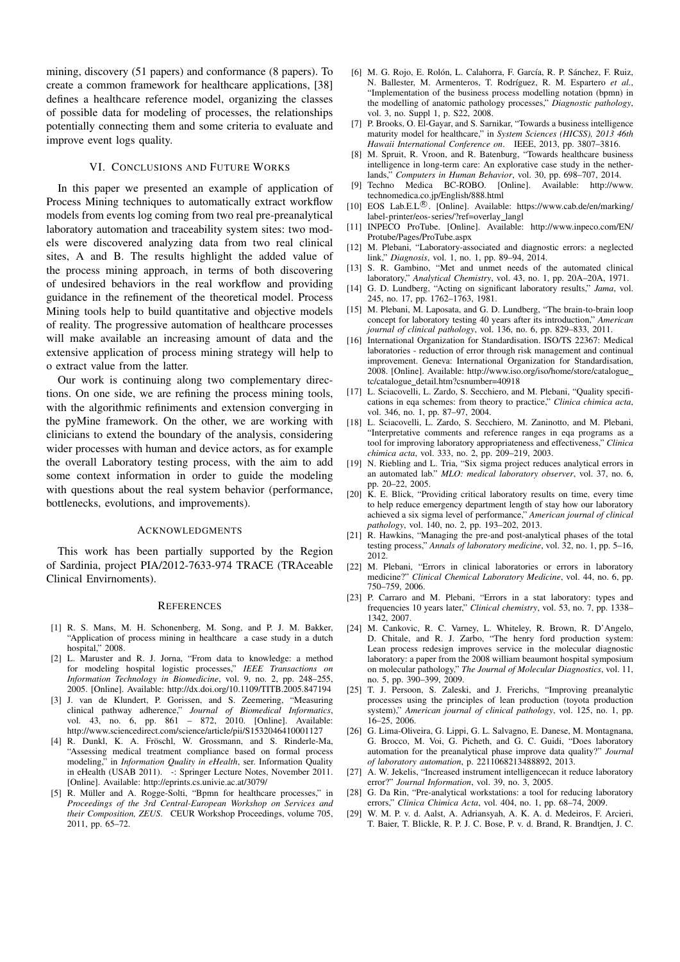mining, discovery (51 papers) and conformance (8 papers). To create a common framework for healthcare applications, [38] defines a healthcare reference model, organizing the classes of possible data for modeling of processes, the relationships potentially connecting them and some criteria to evaluate and improve event logs quality.

#### VI. CONCLUSIONS AND FUTURE WORKS

In this paper we presented an example of application of Process Mining techniques to automatically extract workflow models from events log coming from two real pre-preanalytical laboratory automation and traceability system sites: two models were discovered analyzing data from two real clinical sites, A and B. The results highlight the added value of the process mining approach, in terms of both discovering of undesired behaviors in the real workflow and providing guidance in the refinement of the theoretical model. Process Mining tools help to build quantitative and objective models of reality. The progressive automation of healthcare processes will make available an increasing amount of data and the extensive application of process mining strategy will help to o extract value from the latter.

Our work is continuing along two complementary directions. On one side, we are refining the process mining tools, with the algorithmic refiniments and extension converging in the pyMine framework. On the other, we are working with clinicians to extend the boundary of the analysis, considering wider processes with human and device actors, as for example the overall Laboratory testing process, with the aim to add some context information in order to guide the modeling with questions about the real system behavior (performance, bottlenecks, evolutions, and improvements).

## ACKNOWLEDGMENTS

This work has been partially supported by the Region of Sardinia, project PIA/2012-7633-974 TRACE (TRAceable Clinical Envirnoments).

#### **REFERENCES**

- [1] R. S. Mans, M. H. Schonenberg, M. Song, and P. J. M. Bakker, "Application of process mining in healthcare a case study in a dutch hospital," 2008.
- [2] L. Maruster and R. J. Jorna, "From data to knowledge: a method for modeling hospital logistic processes," *IEEE Transactions on Information Technology in Biomedicine*, vol. 9, no. 2, pp. 248–255, 2005. [Online]. Available: http://dx.doi.org/10.1109/TITB.2005.847194
- [3] J. van de Klundert, P. Gorissen, and S. Zeemering, "Measuring clinical pathway adherence," *Journal of Biomedical Informatics*, vol. 43, no. 6, pp. 861 – 872, 2010. [Online]. Available: http://www.sciencedirect.com/science/article/pii/S1532046410001127
- [4] R. Dunkl, K. A. Fröschl, W. Grossmann, and S. Rinderle-Ma, "Assessing medical treatment compliance based on formal process modeling," in *Information Quality in eHealth*, ser. Information Quality in eHealth (USAB 2011). -: Springer Lecture Notes, November 2011. [Online]. Available: http://eprints.cs.univie.ac.at/3079/
- [5] R. Müller and A. Rogge-Solti, "Bpmn for healthcare processes," in *Proceedings of the 3rd Central-European Workshop on Services and their Composition, ZEUS*. CEUR Workshop Proceedings, volume 705, 2011, pp. 65–72.
- [6] M. G. Rojo, E. Rolón, L. Calahorra, F. García, R. P. Sánchez, F. Ruiz, N. Ballester, M. Armenteros, T. Rodríguez, R. M. Espartero et al., "Implementation of the business process modelling notation (bpmn) in the modelling of anatomic pathology processes," *Diagnostic pathology*, vol. 3, no. Suppl 1, p. S22, 2008.
- [7] P. Brooks, O. El-Gayar, and S. Sarnikar, "Towards a business intelligence maturity model for healthcare," in *System Sciences (HICSS), 2013 46th Hawaii International Conference on*. IEEE, 2013, pp. 3807–3816.
- [8] M. Spruit, R. Vroon, and R. Batenburg, "Towards healthcare business intelligence in long-term care: An explorative case study in the netherlands," *Computers in Human Behavior*, vol. 30, pp. 698–707, 2014.
- [9] Techno Medica BC-ROBO. [Online]. Available: http://www. technomedica.co.jp/English/888.html
- [10] EOS Lab.E.L<sup>®</sup>. [Online]. Available: https://www.cab.de/en/marking/ label-printer/eos-series/?ref=overlay langl
- [11] INPECO ProTube. [Online]. Available: http://www.inpeco.com/EN/ Protube/Pages/ProTube.aspx
- [12] M. Plebani, "Laboratory-associated and diagnostic errors: a neglected link," *Diagnosis*, vol. 1, no. 1, pp. 89–94, 2014.
- [13] S. R. Gambino, "Met and unmet needs of the automated clinical laboratory," *Analytical Chemistry*, vol. 43, no. 1, pp. 20A–20A, 1971.
- [14] G. D. Lundberg, "Acting on significant laboratory results," *Jama*, vol. 245, no. 17, pp. 1762–1763, 1981.
- [15] M. Plebani, M. Laposata, and G. D. Lundberg, "The brain-to-brain loop concept for laboratory testing 40 years after its introduction," *American journal of clinical pathology*, vol. 136, no. 6, pp. 829–833, 2011.
- [16] International Organization for Standardisation. ISO/TS 22367: Medical laboratories - reduction of error through risk management and continual improvement. Geneva: International Organization for Standardisation, 2008. [Online]. Available: http://www.iso.org/iso/home/store/catalogue tc/catalogue detail.htm?csnumber=40918
- [17] L. Sciacovelli, L. Zardo, S. Secchiero, and M. Plebani, "Quality specifications in eqa schemes: from theory to practice," *Clinica chimica acta*, vol. 346, no. 1, pp. 87–97, 2004.
- [18] L. Sciacovelli, L. Zardo, S. Secchiero, M. Zaninotto, and M. Plebani, "Interpretative comments and reference ranges in eqa programs as a tool for improving laboratory appropriateness and effectiveness," *Clinica chimica acta*, vol. 333, no. 2, pp. 209–219, 2003.
- [19] N. Riebling and L. Tria, "Six sigma project reduces analytical errors in an automated lab." *MLO: medical laboratory observer*, vol. 37, no. 6, pp. 20–22, 2005.
- [20] K. E. Blick, "Providing critical laboratory results on time, every time to help reduce emergency department length of stay how our laboratory achieved a six sigma level of performance," *American journal of clinical pathology*, vol. 140, no. 2, pp. 193–202, 2013.
- [21] R. Hawkins, "Managing the pre-and post-analytical phases of the total testing process," *Annals of laboratory medicine*, vol. 32, no. 1, pp. 5–16, 2012.
- [22] M. Plebani, "Errors in clinical laboratories or errors in laboratory medicine?" *Clinical Chemical Laboratory Medicine*, vol. 44, no. 6, pp. 750–759, 2006.
- [23] P. Carraro and M. Plebani, "Errors in a stat laboratory: types and frequencies 10 years later," *Clinical chemistry*, vol. 53, no. 7, pp. 1338– 1342, 2007.
- [24] M. Cankovic, R. C. Varney, L. Whiteley, R. Brown, R. D'Angelo, D. Chitale, and R. J. Zarbo, "The henry ford production system: Lean process redesign improves service in the molecular diagnostic laboratory: a paper from the 2008 william beaumont hospital symposium on molecular pathology," *The Journal of Molecular Diagnostics*, vol. 11, no. 5, pp. 390–399, 2009.
- [25] T. J. Persoon, S. Zaleski, and J. Frerichs, "Improving preanalytic processes using the principles of lean production (toyota production system)," *American journal of clinical pathology*, vol. 125, no. 1, pp. 16–25, 2006.
- [26] G. Lima-Oliveira, G. Lippi, G. L. Salvagno, E. Danese, M. Montagnana, G. Brocco, M. Voi, G. Picheth, and G. C. Guidi, "Does laboratory automation for the preanalytical phase improve data quality?" *Journal of laboratory automation*, p. 2211068213488892, 2013.
- [27] A. W. Jekelis, "Increased instrument intelligencecan it reduce laboratory error?" *Journal Information*, vol. 39, no. 3, 2005.
- [28] G. Da Rin, "Pre-analytical workstations: a tool for reducing laboratory errors," *Clinica Chimica Acta*, vol. 404, no. 1, pp. 68–74, 2009.
- [29] W. M. P. v. d. Aalst, A. Adriansyah, A. K. A. d. Medeiros, F. Arcieri, T. Baier, T. Blickle, R. P. J. C. Bose, P. v. d. Brand, R. Brandtjen, J. C.